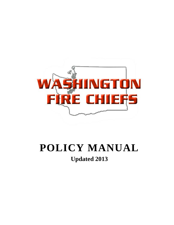

# **POLICY MANUAL Updated 2013**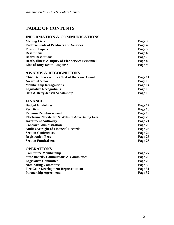# **TABLE OF CONTENTS**

# **INFORMATION & COMMUNICATIONS**

| <b>Mailing Lists</b>                              | Page 3 |
|---------------------------------------------------|--------|
| <b>Endorsements of Products and Services</b>      | Page 4 |
| <b>Position Papers</b>                            | Page 5 |
| <b>Resolutions</b>                                | Page 6 |
| <b>Board Resolutions</b>                          | Page 7 |
| Death, Illness & Injury of Fire Service Personnel | Page 8 |
| <b>Line of Duty Death Response</b>                | Page 9 |

# **AWARDS & RECOGNITIONS**

| Page 11 |
|---------|
| Page 13 |
| Page 14 |
| Page 15 |
| Page 16 |
|         |

# **FINANCE**

| <b>Budget Guidelines</b>                                    | Page 17 |
|-------------------------------------------------------------|---------|
| <b>Per Diem</b>                                             | Page 18 |
| <b>Expense Reimbursement</b>                                | Page 19 |
| <b>Electronic Newsletter &amp; Website Advertising Fees</b> | Page 20 |
| <b>Investment Authority</b>                                 | Page 21 |
| <b>Contract Administration</b>                              | Page 22 |
| <b>Audit Oversight of Financial Records</b>                 | Page 23 |
| <b>Section Conferences</b>                                  | Page 24 |
| <b>Registration Fees</b>                                    | Page 25 |
| <b>Section Fundraisers</b>                                  | Page 26 |

# **OPERATIONS**

| <b>Committee Membership</b>                       | Page 27 |
|---------------------------------------------------|---------|
| <b>State Boards, Commissions &amp; Committees</b> | Page 28 |
| <b>Legislative Committee</b>                      | Page 29 |
| <b>Nominating Committee</b>                       | Page 30 |
| <b>Fire Code Development Representation</b>       | Page 31 |
| <b>Partnership Agreements</b>                     | Page 32 |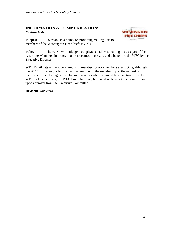#### **INFORMATION & COMMUNICATIONS** *Mailing Lists*



**Purpose:** To establish a policy on providing mailing lists to members of the Washington Fire Chiefs (WFC).

**Policy:** The WFC, will only give out physical address mailing lists, as part of the Associate Membership program unless deemed necessary and a benefit to the WFC by the Executive Director.

WFC Email lists will not be shared with members or non-members at any time, although the WFC Office may offer to email material out to the membership at the request of members or member agencies. In circumstances where it would be advantageous to the WFC and its members, the WFC Email lists may be shared with an outside organization upon approval from the Executive Committee.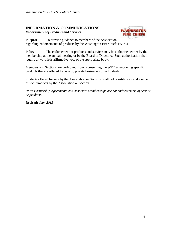# **INFORMATION & COMMUNICATIONS**

*Endorsements of Products and Services*



**Purpose:** To provide guidance to members of the Association regarding endorsements of products by the Washington Fire Chiefs (WFC).

**Policy:** The endorsement of products and services may be authorized either by the membership at the annual meeting or by the Board of Directors. Such authorization shall require a two-thirds affirmative vote of the appropriate body.

Members and Sections are prohibited from representing the WFC as endorsing specific products that are offered for sale by private businesses or individuals.

Products offered for sale by the Association or Sections shall not constitute an endorsement of such products by the Association or Section.

*Note: Partnership Agreements and Associate Memberships are not endorsements of service or products.*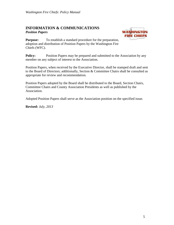#### **INFORMATION & COMMUNICATIONS** *Position Papers*



**Purpose:** To establish a standard procedure for the preparation, adoption and distribution of Position Papers by the Washington Fire Chiefs (WFC).

**Policy:** Position Papers may be prepared and submitted to the Association by any member on any subject of interest to the Association.

Position Papers, when received by the Executive Director, shall be stamped draft and sent to the Board of Directors; additionally, Section & Committee Chairs shall be consulted as appropriate for review and recommendation.

Position Papers adopted by the Board shall be distributed to the Board, Section Chairs, Committee Chairs and County Association Presidents as well as published by the Association.

Adopted Position Papers shall serve as the Association position on the specified issue.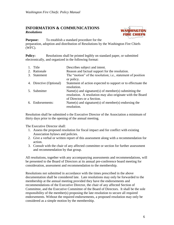#### **INFORMATION & COMMUNICATIONS** *Resolutions*



**Purpose:** To establish a standard procedure for the

preparation, adoption and distribution of Resolutions by the Washington Fire Chiefs (WFC).

**Policy:** Resolutions shall be printed legibly on standard paper, or submitted electronically, and organized in the following format:

1. Title Describes subject and intent. 2. Rationale Reason and factual support for the resolution. 3. Statement The "motion" of the resolution; i.e., statement of position or policy. 4. Directive (Optional) Statement of action expected to support or to effectuate the resolution. 5. Submitter Name(s) and signature(s) of member(s) submitting the resolution. A resolution may also originate with the Board of Directors or a Section. 6. Endorsements: Name(s) and signature(s) of member(s) endorsing the resolution.

Resolution shall be submitted o the Executive Director of the Association a minimum of thirty days prior to the opening of the annual meeting.

The Executive Director shall:

- 1. Assess the proposed resolution for fiscal impact and for conflict with existing Association bylaws and policies.
- 2. Give a verbal or written report of this assessment along with a recommendation for action.
- 3. Consult with the chair of any affected committee or section for further assessment and recommendation by that group.

All resolutions, together with any accompanying assessments and recommendations, will be presented to the Board of Directors at its annual pre-conference board meeting for consideration, assessment and recommendation to the membership.

Resolutions not submitted in accordance with the times prescribed in the above documentation shall be considered late. Late resolutions may only be forwarded to the membership at the annual meeting provided they have the endorsements and recommendations of the Executive Director, the chair of any affected Section of Committee, and the Executive Committee of the Board of Directors. It shall be the sole responsibility of the member(s) proposing the late resolution to secure all required endorsements. Without the required endorsements, a proposed resolution may only be considered as a simple motion by the membership.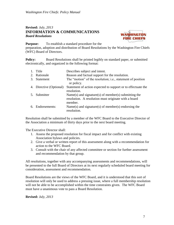#### **Revised:** *July, 2013* **INFORMATION & COMMUNICATIONS** *Board Resolutions*



**Purpose:** To establish a standard procedure for the

preparation, adoption and distribution of Board Resolutions by the Washington Fire Chiefs (WFC) Board of Directors.

**Policy:** Board Resolutions shall be printed legibly on standard paper, or submitted electronically, and organized in the following format:

1. Title Describes subject and intent. 2. Rationale Reason and factual support for the resolution. 3. Statement The "motion" of the resolution; i.e., statement of position or policy. 4. Directive (Optional) Statement of action expected to support or to effectuate the resolution. 5. Submitter Name(s) and signature(s) of member(s) submitting the resolution. A resolution must originate with a board member. 6. Endorsements: Name(s) and signature(s) of member(s) endorsing the resolution.

Resolution shall be submitted by a member of the WFC Board to the Executive Director of the Association a minimum of thirty days prior to the next board meeting.

The Executive Director shall:

- 1. Assess the proposed resolution for fiscal impact and for conflict with existing Association bylaws and policies.
- 2. Give a verbal or written report of this assessment along with a recommendation for action to the WFC Board.
- 3. Consult with the chair of any affected committee or section for further assessment and recommendation by that group.

All resolutions, together with any accompanying assessments and recommendations, will be presented to the full Board of Directors at its next regularly scheduled board meeting for consideration, assessment and recommendation.

Board Resolutions are the views of the WFC Board, and it is understood that this sort of resolution will only be used to address a pressing issue, where a full membership resolution will not be able to be accomplished within the time constraints given. The WFC Board must have a unanimous vote to pass a Board Resolution.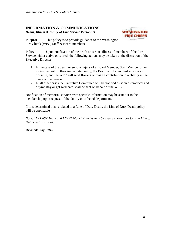# **INFORMATION & COMMUNICATIONS**

*Death, Illness & Injury of Fire Service Personnel*



**Purpose:** This policy is to provide guidance to the Washington Fire Chiefs (WFC) Staff & Board members.

**Policy:** Upon notification of the death or serious illness of members of the Fire Service, either active or retired, the following actions may be taken at the discretion of the Executive Director:

- 1. In the case of the death or serious injury of a Board Member, Staff Member or an individual within their immediate family, the Board will be notified as soon as possible, and the WFC will send flowers or make a contribution to a charity in the name of the person.
- 2. In all other cases the Executive Committee will be notified as soon as practical and a sympathy or get well card shall be sent on behalf of the WFC.

Notification of memorial services with specific information may be sent out to the membership upon request of the family or affected department.

If it is determined this is related to a Line of Duty Death, the Line of Duty Death policy will be applicable.

*Note: The LAST Team and LODD Model Policies may be used as resources for non Line of Duty Deaths as well.*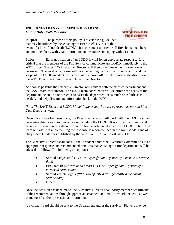# **INFORMATION & COMMUNICATIONS**

*Line of Duty Death Response*



**Purpose:** The purpose of this policy is to establish guidelines that may be utilized by the Washington Fire Chiefs (WFC) in the event of a line of duty death (LODD). It is our intent to provide all fire chiefs, members and non-members, with vital information and resources in coping with a LODD.

**Policy:** Early notification of an LODD is vital for an appropriate response. It is critical that the members of the Fire Service communicate any LODD immediately to the WFC office. The WFC's Executive Director will then disseminate the information as necessary. The level of response will vary depending on the time of notification and the scope of the LODD incident. This level of response will be determined at the discretion of the WFC Executive Committee and Executive Director.

As soon as possible the Executive Director will contact both the affected department and the LAST team coordinator. The LAST team coordinator will determine the needs of the department, be an on site presence to assist the department in as much or as little as is needed, and help disseminate information back to the WFC.

*Note: The LAST Team and LODD Model Policies may be used as resources for non Line of Duty Deaths as well.*

Once this contact has been made, the Executive Director will work with the LAST team to determine details and circumstances surrounding the LODD. It is critical that timely and accurate information be gathered from the fire department affected by a LODD. The LAST team will assist in implementing the response as recommended in the Joint Model Line of Duty Death Guidelines published by the WFC, WSFFA, WFCA & WSCFF.

The Executive Director shall consult the President and/or the Executive Committee as to an appropriate response and recommended practices that Washington fire departments will be advised to follow. The following are options:

- Shroud badges until *(WFC will specify date – generally a memorial service date)*
- Fire State flags flown at half mast *(WFC will specify date – generally a memorial service date)*
- Shroud vehicle logo's *(WFC will specify date – generally a memorial service date)*
- Other

Once the decision has been made, the Executive Director shall notify member departments of the recommendations through appropriate channels (ie Email Blast, Phone, etc.) as well as memorial and/or processional information.

A sympathy card should be sent to the Department and/or the survivor. Flowers may be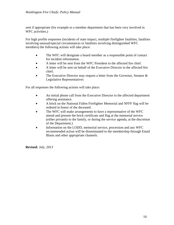sent if appropriate (for example to a member department that has been very involved in WFC activities.)

For high profile responses (incidents of state impact, multiple firefighter fatalities, fatalities involving unusual/special circumstances or fatalities involving distinguished WFC members) the following actions will take place:

- The WFC will designate a board member as a responsible point of contact for incident information.
- A letter will be sent from the WFC President to the affected fire chief.
- A letter will be sent on behalf of the Executive Director to the affected fire chief.
- The Executive Director may request a letter from the Governor, Senator & Legislative Representatives

For all responses the following actions will take place:

- An initial phone call from the Executive Director to the affected department offering assistance.
- A brick on the National Fallen Firefighter Memorial and NFFF flag will be ordered in honor of the deceased.
- The WFC will make arrangements to have a representative of the WFC attend and present the brick certificate and flag at the memorial service (either privately to the family, or during the service agenda, at the discretion of the Department.)
- Information on the LODD, memorial service, procession and any WFC recommended action will be disseminated to the membership through Email Blasts and other appropriate channels.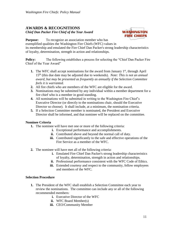#### **AWARDS & RECOGNITIONS** *Chief Dan Packer Fire Chief of the Year Award*



**Purpose:** To recognize an association member who has exemplified qualities the Washington Fire Chiefs (WFC) values in its membership and emulated the Fire Chief Dan Packer's strong leadership characteristics of loyalty, determination, strength in action and relationships.

**Policy:** The following establishes a process for selecting the "Chief Dan Packer Fire" Chief of the Year Award"

- **1.** The WFC shall accept nominations for the award from January 1<sup>st</sup>, through April 15th (this due date may be adjusted due to weekends). *Note: This is not an annual award, but may be presented as frequently as annually if the Selection Committee feels it is warranted.*
- **2.** All fire chiefs who are members of the WFC are eligible for the award.
- **3.** Nominations may be submitted by any individual within a member department for a fire chief who is a member in good standing.
- **4.** All nominations will be submitted in writing to the Washington Fire Chief's Executive Director (or directly to the nominations chair, should the Executive Director so choose). It shall include, at a minimum, the nomination criteria.
- **5.** If a Selection Committee member is nominated, the President and Executive Director shall be informed, and that nominee will be replaced on the committee.

#### **Nominee Criteria**

- **1.** The nominee will have met one or more of the following criteria:
	- **i.** Exceptional performance and accomplishments.
	- **ii.** Contributed above and beyond the normal call of duty.
	- **iii.** Contributed significantly to the safe and effective operations of the Fire Service as a member of the WFC.
- **2.** The nominee will have met all of the following criteria:
	- **i.** Emulated Fire Chief Dan Packer's strong leadership characteristics of loyalty, determination, strength in action and relationships.
	- **ii.** Professional performance consistent with the WFC Code of Ethics.
	- **iii.** Extended courtesy and respect to the community, fellow employees and members of the WFC.

#### **Selection Procedure**

- **1.** The President of the WFC shall establish a Selection Committee each year to review the nominations. The committee can include any or all of the following recommended members:
	- **i.** Executive Director of the WFC
	- **ii.** WFC Board Member(s)
	- **iii.** CEO/Community Member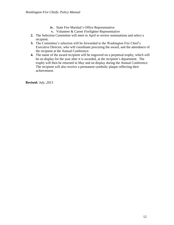- **iv.** State Fire Marshal's Office Representative
- **v.** Volunteer & Career Firefighter Representative
- **2.** The Selection Committee will meet in April to review nominations and select a recipient.
- **3.** The Committee's selection will be forwarded to the Washington Fire Chief's Executive Director, who will coordinate procuring the award, and the attendance of the recipient at the Annual Conference.
- **4.** The name of the award recipient will be engraved on a perpetual trophy, which will be on display for the year after it is awarded, at the recipient's department. The trophy will then be returned in May and on display during the Annual Conference. The recipient will also receive a permanent symbolic plaque reflecting their achievement.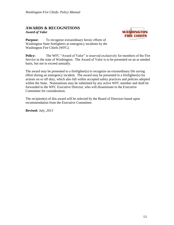#### **AWARDS & RECOGNITIONS** *Award of Valor*



**Purpose:** To recognize extraordinary heroic efforts of Washington State firefighters at emergency incidents by the Washington Fire Chiefs (WFC).

**Policy:** The WFC "Award of Valor" is reserved exclusively for members of the Fire Service in the state of Washington. The Award of Valor is to be presented on an as needed basis, but not to exceed annually.

The award may be presented to a firefighter(s) to recognize an extraordinary life saving effort during an emergency incident. The award may be presented to a firefighter(s) for actions on or off duty, which also fall within accepted safety practices and policies adopted within the State. Nominations may be submitted by any active WFC member and shall be forwarded to the WFC Executive Director, who will disseminate to the Executive Committee for consideration.

The recipient(s) of this award will be selected by the Board of Directors based upon recommendation from the Executive Committee.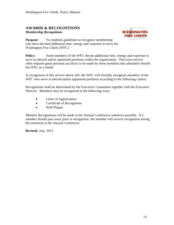#### **AWARDS & RECOGNITIONS** *Membership Recognitions*



**Purpose:** To establish guidelines to recognize membership who have devoted additional time, energy and expertise to serve the Washington Fire Chiefs (WFC).

**Policy:** Some members of the WFC devote additional time, energy and expertise to serve in elected and/or appointed positions within the organization. This extra service often requires great personal sacrifices to be made by these members that ultimately benefit the WFC as a whole.

In recognition of this service above self, the WFC will formally recognize members of the WFC who serve in elected and/or appointed positions according to the following criteria:

Recognitions shall be determined by the Executive Committee together with the Executive Director. Members may be recognized in the following ways:

- Letter of Appreciation
- Certificate of Recognition
- Wall Plaque

Member Recognitions will be made at the Annual Conference whenever possible. If a member should pass away prior to recognition, the member will receive recognition during the memorial at the Annual Conference.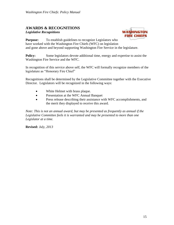#### **AWARDS & RECOGNITIONS** *Legislative Recognitions*



**Purpose:** To establish guidelines to recognize Legislators who have worked with the Washington Fire Chiefs (WFC) on legislation and gone above and beyond supporting Washington Fire Service in the legislature.

**Policy:** Some legislators devote additional time, energy and expertise to assist the Washington Fire Service and the WFC.

In recognition of this service above self, the WFC will formally recognize members of the legislature as "Honorary Fire Chief"

Recognitions shall be determined by the Legislative Committee together with the Executive Director. Legislators will be recognized in the following ways:

- White Helmet with brass plaque.
- Presentation at the WFC Annual Banquet
- Press release describing their assistance with WFC accomplishments, and the merit they displayed to receive this award.

*Note: This is not an annual award, but may be presented as frequently as annual if the Legislative Committee feels it is warranted and may be presented to more than one Legislator at a time.*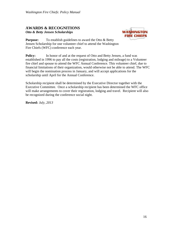#### **AWARDS & RECOGNITIONS** *Otto & Betty Jensen Scholarships*



**Purpose:** To establish guidelines to award the Otto & Betty Jensen Scholarship for one volunteer chief to attend the Washington Fire Chiefs (WFC) conference each year.

**Policy:** In honor of and at the request of Otto and Betty Jensen, a fund was established in 1996 to pay all the costs (registration, lodging and mileage) to a Volunteer fire chief and spouse to attend the WFC Annual Conference. This volunteer chief, due to financial limitations of their organization, would otherwise not be able to attend. The WFC will begin the nomination process in January, and will accept applications for the scholarship until April for the Annual Conference.

Scholarship recipient shall be determined by the Executive Director together with the Executive Committee. Once a scholarship recipient has been determined the WFC office will make arrangements to cover their registration, lodging and travel. Recipient will also be recognized during the conference social night.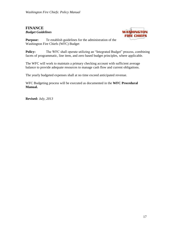## **FINANCE** *Budget Guidelines*



**Purpose:** Te establish guidelines for the administration of the Washington Fire Chiefs (WFC) Budget

**Policy:** The WFC shall operate utilizing an "Integrated Budget" process, combining facets of programmatic, line item, and zero based budget principles, where applicable.

The WFC will work to maintain a primary checking account with sufficient average balance to provide adequate resources to manage cash flow and current obligations.

The yearly budgeted expenses shall at no time exceed anticipated revenue.

WFC Budgeting process will be executed as documented in the **WFC Procedural Manual.**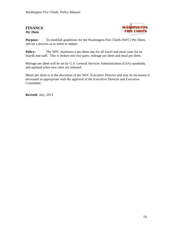# **FINANCE** *Per Diem*



**Purpose:** To establish guidelines for the Washington Fire Chiefs (WFC) Per Diem, and set a process as to when to update.

**Policy:** The WFC maintains a per diem rate for all travel and meal costs for its boards and staff. This is broken into two parts; mileage per diem and meal per diem.

Mileage per diem will be set by U.S. General Services Administration (GSA) standards, and updated when new rates are released.

Meals per diem is at the discretion of the WFC Executive Director and may be increased or decreased as appropriate with the approval of the Executive Director and Executive Committee.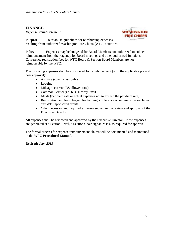# **FINANCE** *Expense Reimbursement*



**Purpose:** To establish guidelines for reimbursing expenses resulting from authorized Washington Fire Chiefs (WFC) activities.

**Policy:** Expenses may be budgeted for Board Members not authorized to collect reimbursement from their agency for Board meetings and other authorized functions. Conference registration fees for WFC Board & Section Board Members are not reimbursable by the WFC.

The following expenses shall be considered for reimbursement (with the applicable pre and post approval):

- Air Fare (coach class only)
- Lodging
- Mileage (current IRS allowed rate)
- Common Carrier (i.e. bus, subway, taxi)
- Meals (Per diem rate or actual expenses not to exceed the per diem rate)
- Registration and fees charged for training, conference or seminar (this excludes any WFC sponsored events)
- Other necessary and required expenses subject to the review and approval of the Executive Director.

All expenses shall be reviewed and approved by the Executive Director. If the expenses are generated at a Section Level, a Section Chair signature is also required for approval.

The formal process for expense reimbursement claims will be documented and maintained in the **WFC Procedural Manual.**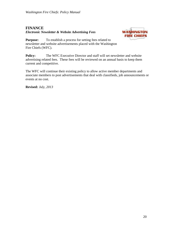# **FINANCE** *Electronic Newsletter & Website Advertising Fees*



**Purpose:** To establish a process for setting fees related to newsletter and website advertisements placed with the Washington Fire Chiefs (WFC).

**Policy:** The WFC Executive Director and staff will set newsletter and website advertising related fees. These fees will be reviewed on an annual basis to keep them current and competitive.

The WFC will continue their existing policy to allow active member departments and associate members to post advertisements that deal with classifieds, job announcements or events at no cost.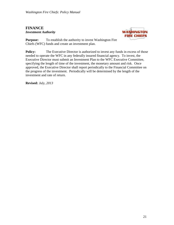# **FINANCE** *Investment Authority*



**Purpose:** To establish the authority to invest Washington Fire Chiefs (WFC) funds and create an investment plan.

**Policy:** The Executive Director is authorized to invest any funds in excess of those needed to operate the WFC in any federally insured financial agency. To invest, the Executive Director must submit an Investment Plan to the WFC Executive Committee, specifying the length of time of the investment, the monetary amount and risk. Once approved, the Executive Director shall report periodically to the Financial Committee on the progress of the investment. Periodically will be determined by the length of the investment and rate of return.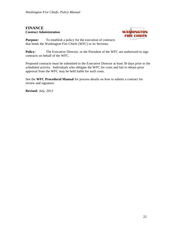## **FINANCE** *Contract Administration*



**Purpose:** To establish a policy for the execution of contracts that binds the Washington Fire Chiefs (WFC) or its Sections.

**Policy:** The Executive Director, or the President of the WFC are authorized to sign contracts on behalf of the WFC.

Proposed contracts must be submitted to the Executive Director at least 30 days prior to the scheduled activity. Individuals who obligate the WFC for costs and fail to obtain prior approval from the WFC may be held liable for such costs.

See the **WFC Procedural Manual** for process details on how to submit a contract for review and signature.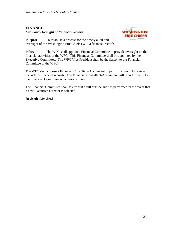# **FINANCE** *Audit and Oversight of Financial Records*



**Purpose:** To establish a process for the timely audit and oversight of the Washington Fire Chiefs (WFC) financial records.

**Policy:** The WFC shall appoint a Financial Committee to provide oversight on the financial activities of the WFC. This Financial Committee shall be appointed by the Executive Committee. The WFC Vice President shall be the liaison to the Financial Committee of the WFC.

The WFC shall choose a Financial Consultant/Accountant to perform a monthly review of the WFC's financial records. The Financial Consultant/Accountant will report directly to the Financial Committee on a periodic basis.

The Financial Committee shall assure that a full outside audit is performed in the event that a new Executive Director is selected.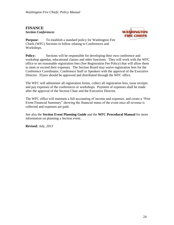# **FINANCE** *Section Conferences*



**Purpose:** To establish a standard policy for Washington Fire Chiefs (WFC) Sections to follow relating to Conferences and Workshops.

**Policy:** Sections will be responsible for developing their own conference and workshop agendas, educational classes and other functions. They will work with the WFC office to set reasonable registration fees (See Registration Fee Policy) that will allow them to meet or exceed their expenses. The Section Board may waive registration fees for the Conference Coordinator, Conference Staff or Speakers with the approval of the Executive Director. Flyers should be approved and distributed through the WFC office.

The WFC will administer all registration forms, collect all registration fees, issue receipts and pay expenses of the conferences or workshops. Payment of expenses shall be made after the approval of the Section Chair and the Executive Director.

The WFC office will maintain a full accounting of income and expenses, and create a "Post Event Financial Summary" showing the financial status of the event once all revenue is collected and expenses are paid.

See also the **Section Event Planning Guide** and the **WFC Procedural Manual** for more information on planning a Section event.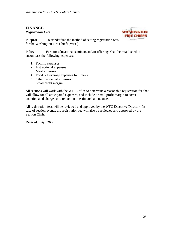#### **FINANCE** *Registration Fees*



**Purpose:** To standardize the method of setting registration fees for the Washington Fire Chiefs (WFC).

**Policy:** Fees for educational seminars and/or offerings shall be established to encompass the following expenses:

- **1.** Facility expenses
- **2.** Instructional expenses
- **3.** Meal expenses
- **4.** Food & Beverage expenses for breaks
- **5.** Other incidental expenses
- **6.** Small profit margin

All sections will work with the WFC Office to determine a reasonable registration fee that will allow for all anticipated expenses, and include a small profit margin to cover unanticipated charges or a reduction in estimated attendance.

All registration fees will be reviewed and approved by the WFC Executive Director. In case of section events, the registration fee will also be reviewed and approved by the Section Chair.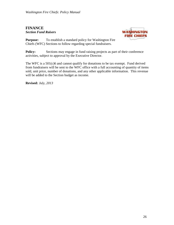# **FINANCE** *Section Fund Raisers*



**Purpose:** To establish a standard policy for Washington Fire Chiefs (WFC) Sections to follow regarding special fundraisers.

**Policy:** Sections may engage in fund raising projects as part of their conference activities, subject to approval by the Executive Director.

The WFC is a 501(c)6 and cannot qualify for donations to be tax exempt. Fund derived from fundraisers will be sent to the WFC office with a full accounting of quantity of items sold, unit price, number of donations, and any other applicable information. This revenue will be added to the Section budget as income.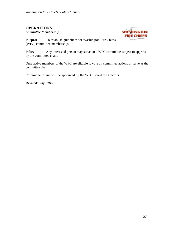#### **OPERATIONS** *Committee Membership*



**Purpose:** To establish guidelines for Washington Fire Chiefs (WFC) committee membership.

**Policy:** Any interested person may serve on a WFC committee subject to approval by the committee chair.

Only active members of the WFC are eligible to vote on committee actions or serve as the committee chair.

Committee Chairs will be appointed by the WFC Board of Directors.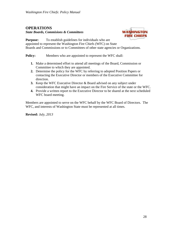# **OPERATIONS**

*State Boards, Commisions & Committees*



**Purpose:** To establish guidelines for individuals who are appointed to represent the Washington Fire Chiefs (WFC) on State Boards and Commissions or to Committees of other state agencies or Organizations.

**Policy:** Members who are appointed to represent the WFC shall:

- **1.** Make a determined effort to attend all meetings of the Board, Commission or Committee to which they are appointed.
- **2.** Determine the policy for the WFC by referring to adopted Position Papers or contacting the Executive Director or members of the Executive Committee for direction.
- **3.** Keep the WFC Executive Director & Board advised on any subject under consideration that might have an impact on the Fire Service of the state or the WFC.
- **4.** Provide a written report to the Executive Director to be shared at the next scheduled WFC board meeting.

Members are appointed to serve on the WFC behalf by the WFC Board of Directors. The WFC, and interests of Washington State must be represented at all times.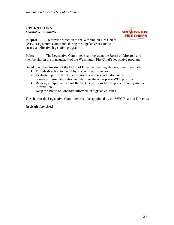# **OPERATIONS**

*Legislative Committee*



**Purpose:** To provide direction to the Washington Fire Chiefs (WFC) Legislative Committee during the legislative session to ensure an effective legislative program.

**Policy:** The Legislative Committee shall represent the Board of Directors and membership in the management of the Washington Fire Chief's legislative program.

Based upon the direction of the Board of Directors, the Legislative Committee shall:

- **1.** Provide direction to the lobbyist(s) on specific issues.
- **2.** Evaluate input from outside resources, agencies and individuals.
- **3.** Screen proposed legislation to determine the appropriate WFC position.
- **4.** Review, interpret and adjust the WFC's positions based upon current legislative information.
- **5.** Keep the Board of Directors informed on legislative issues.

The chair of the Legislative Committee shall be appointed by the WFC Board of Directors.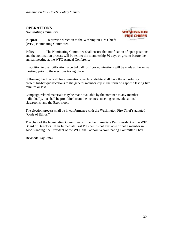#### **OPERATIONS** *Nominating Committee*



**Purpose:** To provide direction to the Washington Fire Chiefs (WFC) Nominating Committee.

**Policy:** The Nominating Committee shall ensure that notification of open positions and the nomination process will be sent to the membership 30 days or greater before the annual meeting at the WFC Annual Conference.

In addition to the notification, a verbal call for floor nominations will be made at the annual meeting, prior to the elections taking place.

Following this final call for nominations, each candidate shall have the opportunity to present his/her qualifications to the general membership in the form of a speech lasting five minutes or less.

Campaign related materials may be made available by the nominee to any member individually, but shall be prohibited from the business meeting room, educational classrooms, and the Expo floor.

The election process shall be in conformance with the Washington Fire Chief's adopted "Code of Ethics."

The chair of the Nominating Committee will be the Immediate Past President of the WFC Board of Directors. If an Immediate Past President is not available or not a member in good standing, the President of the WFC shall appoint a Nominating Committee Chair.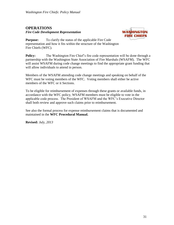## **OPERATIONS** *Fire Code Development Representation*



**Purpose:** To clarify the status of the applicable Fire Code representation and how it fits within the structure of the Washington Fire Chiefs (WFC).

**Policy:** The Washington Fire Chief's fire code representation will be done through a partnership with the Washington State Association of Fire Marshals (WSAFM). The WFC will assist WSAFM during code change meetings to find the appropriate grant funding that will allow individuals to attend in person.

Members of the WSAFM attending code change meetings and speaking on behalf of the WFC must be voting members of the WFC. Voting members shall either be active members of the WFC or it Sections.

To be eligible for reimbursement of expenses through these grants or available funds, in accordance with the WFC policy, WSAFM members must be eligible to vote in the applicable code process. The President of WSAFM and the WFC's Executive Director shall both review and approve such claims prior to reimbursement.

See also the formal process for expense reimbursement claims that is documented and maintained in the **WFC Procedural Manual.**